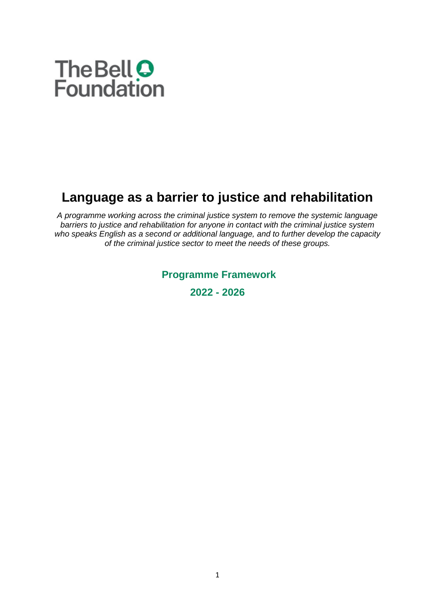

# **Language as a barrier to justice and rehabilitation**

*A programme working across the criminal justice system to remove the systemic language barriers to justice and rehabilitation for anyone in contact with the criminal justice system who speaks English as a second or additional language, and to further develop the capacity of the criminal justice sector to meet the needs of these groups.* 

**Programme Framework**

**2022 - 2026**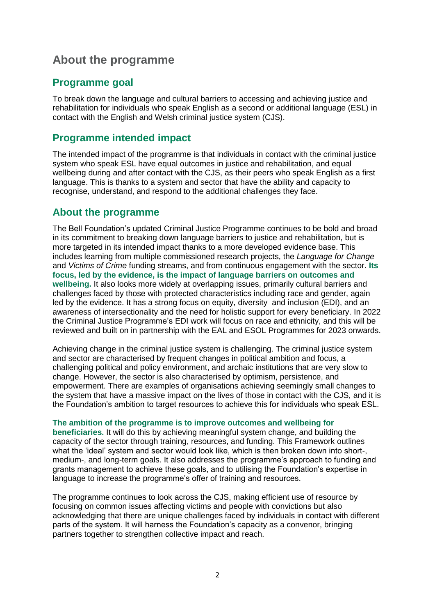## **About the programme**

### **Programme goal**

To break down the language and cultural barriers to accessing and achieving justice and rehabilitation for individuals who speak English as a second or additional language (ESL) in contact with the English and Welsh criminal justice system (CJS).

## **Programme intended impact**

The intended impact of the programme is that individuals in contact with the criminal justice system who speak ESL have equal outcomes in justice and rehabilitation, and equal wellbeing during and after contact with the CJS, as their peers who speak English as a first language. This is thanks to a system and sector that have the ability and capacity to recognise, understand, and respond to the additional challenges they face.

### **About the programme**

The Bell Foundation's updated Criminal Justice Programme continues to be bold and broad in its commitment to breaking down language barriers to justice and rehabilitation, but is more targeted in its intended impact thanks to a more developed evidence base. This includes learning from multiple commissioned research projects, the *Language for Change* and *Victims of Crime* funding streams, and from continuous engagement with the sector. **Its focus, led by the evidence, is the impact of language barriers on outcomes and wellbeing.** It also looks more widely at overlapping issues, primarily cultural barriers and challenges faced by those with protected characteristics including race and gender, again led by the evidence. It has a strong focus on equity, diversity and inclusion (EDI), and an awareness of intersectionality and the need for holistic support for every beneficiary. In 2022 the Criminal Justice Programme's EDI work will focus on race and ethnicity, and this will be reviewed and built on in partnership with the EAL and ESOL Programmes for 2023 onwards.

Achieving change in the criminal justice system is challenging. The criminal justice system and sector are characterised by frequent changes in political ambition and focus, a challenging political and policy environment, and archaic institutions that are very slow to change. However, the sector is also characterised by optimism, persistence, and empowerment. There are examples of organisations achieving seemingly small changes to the system that have a massive impact on the lives of those in contact with the CJS, and it is the Foundation's ambition to target resources to achieve this for individuals who speak ESL.

#### **The ambition of the programme is to improve outcomes and wellbeing for**

**beneficiaries.** It will do this by achieving meaningful system change, and building the capacity of the sector through training, resources, and funding. This Framework outlines what the 'ideal' system and sector would look like, which is then broken down into short-, medium-, and long-term goals. It also addresses the programme's approach to funding and grants management to achieve these goals, and to utilising the Foundation's expertise in language to increase the programme's offer of training and resources.

The programme continues to look across the CJS, making efficient use of resource by focusing on common issues affecting victims and people with convictions but also acknowledging that there are unique challenges faced by individuals in contact with different parts of the system. It will harness the Foundation's capacity as a convenor, bringing partners together to strengthen collective impact and reach.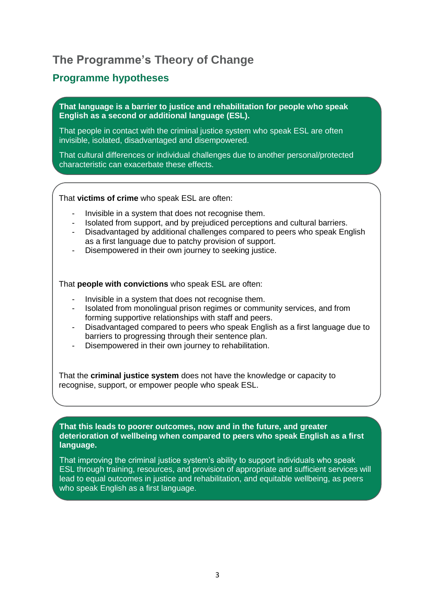## **The Programme's Theory of Change**

## **Programme hypotheses**

**That language is a barrier to justice and rehabilitation for people who speak English as a second or additional language (ESL).**

That people in contact with the criminal justice system who speak ESL are often invisible, isolated, disadvantaged and disempowered.

That cultural differences or individual challenges due to another personal/protected characteristic can exacerbate these effects.

#### That **victims of crime** who speak ESL are often:

- Invisible in a system that does not recognise them.
- Isolated from support, and by prejudiced perceptions and cultural barriers.
- Disadvantaged by additional challenges compared to peers who speak English as a first language due to patchy provision of support.
- Disempowered in their own journey to seeking justice.

That **people with convictions** who speak ESL are often:

- Invisible in a system that does not recognise them.
- Isolated from monolingual prison regimes or community services, and from forming supportive relationships with staff and peers.
- Disadvantaged compared to peers who speak English as a first language due to barriers to progressing through their sentence plan.
- Disempowered in their own journey to rehabilitation.

That the **criminal justice system** does not have the knowledge or capacity to recognise, support, or empower people who speak ESL.

**That this leads to poorer outcomes, now and in the future, and greater deterioration of wellbeing when compared to peers who speak English as a first language.**

That improving the criminal justice system's ability to support individuals who speak ESL through training, resources, and provision of appropriate and sufficient services will lead to equal outcomes in justice and rehabilitation, and equitable wellbeing, as peers who speak English as a first language.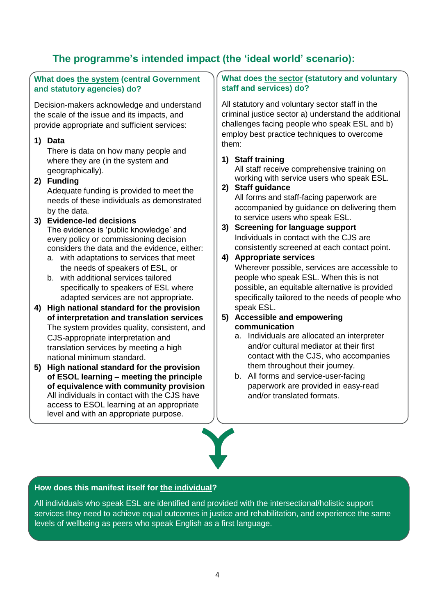## **The programme's intended impact (the 'ideal world' scenario):**

#### **What does the system (central Government and statutory agencies) do?**

Decision-makers acknowledge and understand the scale of the issue and its impacts, and provide appropriate and sufficient services:

#### **1) Data**

There is data on how many people and where they are (in the system and geographically).

- **2) Funding** Adequate funding is provided to meet the needs of these individuals as demonstrated by the data.
- **3) Evidence-led decisions** The evidence is 'public knowledge' and every policy or commissioning decision considers the data and the evidence, either:
	- a. with adaptations to services that meet the needs of speakers of ESL, or
	- b. with additional services tailored specifically to speakers of ESL where adapted services are not appropriate.
- **4) High national standard for the provision of interpretation and translation services** The system provides quality, consistent, and CJS-appropriate interpretation and translation services by meeting a high national minimum standard.
- **5) High national standard for the provision of ESOL learning – meeting the principle of equivalence with community provision**  All individuals in contact with the CJS have access to ESOL learning at an appropriate level and with an appropriate purpose.

#### **What does the sector (statutory and voluntary staff and services) do?**

All statutory and voluntary sector staff in the criminal justice sector a) understand the additional challenges facing people who speak ESL and b) employ best practice techniques to overcome them:

#### **1) Staff training**

All staff receive comprehensive training on working with service users who speak ESL.

#### **2) Staff guidance**

All forms and staff-facing paperwork are accompanied by guidance on delivering them to service users who speak ESL.

**3) Screening for language support** Individuals in contact with the CJS are consistently screened at each contact point.

#### **4) Appropriate services**

Wherever possible, services are accessible to people who speak ESL. When this is not possible, an equitable alternative is provided specifically tailored to the needs of people who speak ESL.

#### **5) Accessible and empowering communication**

- a. Individuals are allocated an interpreter and/or cultural mediator at their first contact with the CJS, who accompanies them throughout their journey.
- b. All forms and service-user-facing paperwork are provided in easy-read and/or translated formats.

#### **How does this manifest itself for the individual?**

All individuals who speak ESL are identified and provided with the intersectional/holistic support services they need to achieve equal outcomes in justice and rehabilitation, and experience the same levels of wellbeing as peers who speak English as a first language.